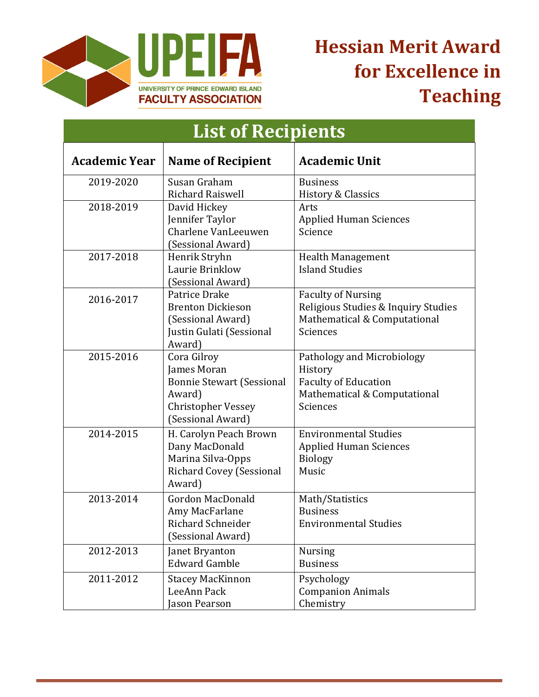

# **Hessian Merit Award for Excellence in Teaching**

| <b>List of Recipients</b> |                                                                                                                            |                                                                                                                  |  |  |
|---------------------------|----------------------------------------------------------------------------------------------------------------------------|------------------------------------------------------------------------------------------------------------------|--|--|
| <b>Academic Year</b>      | <b>Name of Recipient</b>                                                                                                   | <b>Academic Unit</b>                                                                                             |  |  |
| 2019-2020                 | Susan Graham<br><b>Richard Raiswell</b>                                                                                    | <b>Business</b><br><b>History &amp; Classics</b>                                                                 |  |  |
| 2018-2019                 | David Hickey<br>Jennifer Taylor<br>Charlene VanLeeuwen<br>(Sessional Award)                                                | Arts<br><b>Applied Human Sciences</b><br>Science                                                                 |  |  |
| 2017-2018                 | Henrik Stryhn<br>Laurie Brinklow<br>(Sessional Award)                                                                      | <b>Health Management</b><br><b>Island Studies</b>                                                                |  |  |
| 2016-2017                 | Patrice Drake<br><b>Brenton Dickieson</b><br>(Sessional Award)<br>Justin Gulati (Sessional<br>Award)                       | <b>Faculty of Nursing</b><br>Religious Studies & Inquiry Studies<br>Mathematical & Computational<br>Sciences     |  |  |
| 2015-2016                 | Cora Gilroy<br>James Moran<br><b>Bonnie Stewart (Sessional</b><br>Award)<br><b>Christopher Vessey</b><br>(Sessional Award) | Pathology and Microbiology<br>History<br><b>Faculty of Education</b><br>Mathematical & Computational<br>Sciences |  |  |
| 2014-2015                 | H. Carolyn Peach Brown<br>Dany MacDonald<br>Marina Silva-Opps<br><b>Richard Covey (Sessional</b><br>Award)                 | <b>Environmental Studies</b><br><b>Applied Human Sciences</b><br><b>Biology</b><br>Music                         |  |  |
| 2013-2014                 | <b>Gordon MacDonald</b><br>Amy MacFarlane<br>Richard Schneider<br>(Sessional Award)                                        | Math/Statistics<br><b>Business</b><br><b>Environmental Studies</b>                                               |  |  |
| 2012-2013                 | Janet Bryanton<br><b>Edward Gamble</b>                                                                                     | <b>Nursing</b><br><b>Business</b>                                                                                |  |  |
| 2011-2012                 | <b>Stacey MacKinnon</b><br>LeeAnn Pack<br>Jason Pearson                                                                    | Psychology<br><b>Companion Animals</b><br>Chemistry                                                              |  |  |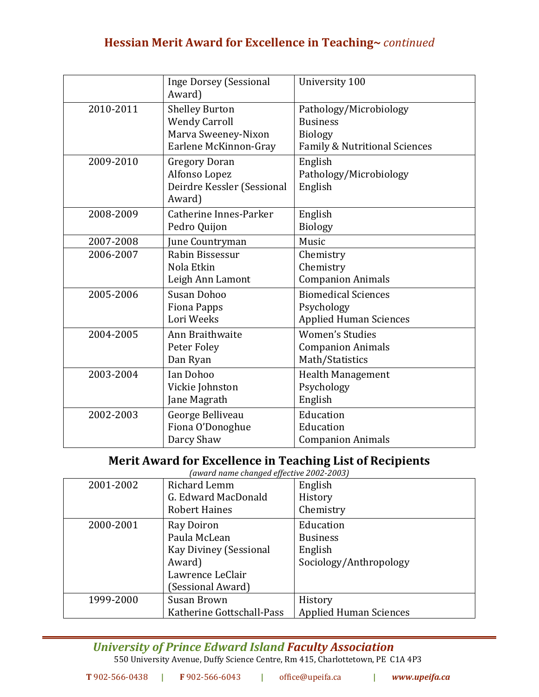### **Hessian Merit Award for Excellence in Teaching~** *continued*

|           | <b>Inge Dorsey (Sessional</b><br>Award)                                                       | University 100                                                                               |
|-----------|-----------------------------------------------------------------------------------------------|----------------------------------------------------------------------------------------------|
| 2010-2011 | <b>Shelley Burton</b><br><b>Wendy Carroll</b><br>Marva Sweeney-Nixon<br>Earlene McKinnon-Gray | Pathology/Microbiology<br><b>Business</b><br><b>Biology</b><br>Family & Nutritional Sciences |
| 2009-2010 | <b>Gregory Doran</b><br>Alfonso Lopez<br>Deirdre Kessler (Sessional<br>Award)                 | English<br>Pathology/Microbiology<br>English                                                 |
| 2008-2009 | Catherine Innes-Parker<br>Pedro Quijon                                                        | English<br><b>Biology</b>                                                                    |
| 2007-2008 | June Countryman                                                                               | Music                                                                                        |
| 2006-2007 | Rabin Bissessur                                                                               | Chemistry                                                                                    |
|           | Nola Etkin                                                                                    | Chemistry                                                                                    |
|           | Leigh Ann Lamont                                                                              | <b>Companion Animals</b>                                                                     |
| 2005-2006 | Susan Dohoo                                                                                   | <b>Biomedical Sciences</b>                                                                   |
|           | <b>Fiona Papps</b>                                                                            | Psychology                                                                                   |
|           | Lori Weeks                                                                                    | <b>Applied Human Sciences</b>                                                                |
| 2004-2005 | Ann Braithwaite                                                                               | <b>Women's Studies</b>                                                                       |
|           | Peter Foley                                                                                   | <b>Companion Animals</b>                                                                     |
|           | Dan Ryan                                                                                      | Math/Statistics                                                                              |
| 2003-2004 | Ian Dohoo                                                                                     | <b>Health Management</b>                                                                     |
|           | Vickie Johnston                                                                               | Psychology                                                                                   |
|           | Jane Magrath                                                                                  | English                                                                                      |
| 2002-2003 | George Belliveau                                                                              | Education                                                                                    |
|           | Fiona O'Donoghue                                                                              | Education                                                                                    |
|           | Darcy Shaw                                                                                    | <b>Companion Animals</b>                                                                     |

#### **Merit Award for Excellence in Teaching List of Recipients**

*(award name changed effective 2002-2003)*

| 2001-2002 | Richard Lemm              | English                       |
|-----------|---------------------------|-------------------------------|
|           | G. Edward MacDonald       | History                       |
|           | <b>Robert Haines</b>      | Chemistry                     |
| 2000-2001 | Ray Doiron                | Education                     |
|           | Paula McLean              | <b>Business</b>               |
|           | Kay Diviney (Sessional    | English                       |
|           | Award)                    | Sociology/Anthropology        |
|           | Lawrence LeClair          |                               |
|           | (Sessional Award)         |                               |
| 1999-2000 | Susan Brown               | History                       |
|           | Katherine Gottschall-Pass | <b>Applied Human Sciences</b> |

#### *University of Prince Edward Island Faculty Association*

550 University Avenue, Duffy Science Centre, Rm 415, Charlottetown, PE C1A 4P3